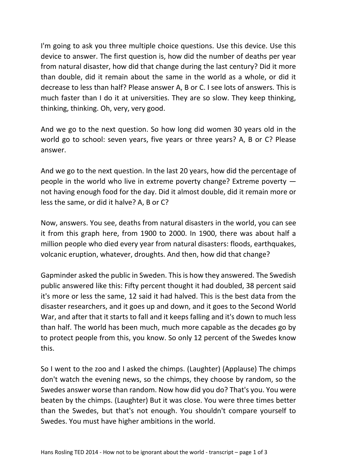I'm going to ask you three multiple choice questions. Use this device. Use this device to answer. The first question is, how did the number of deaths per year from natural disaster, how did that change during the last century? Did it more than double, did it remain about the same in the world as a whole, or did it decrease to less than half? Please answer A, B or C. I see lots of answers. This is much faster than I do it at universities. They are so slow. They keep thinking, thinking, thinking. Oh, very, very good.

And we go to the next question. So how long did women 30 years old in the world go to school: seven years, five years or three years? A, B or C? Please answer.

And we go to the next question. In the last 20 years, how did the percentage of people in the world who live in extreme poverty change? Extreme poverty not having enough food for the day. Did it almost double, did it remain more or less the same, or did it halve? A, B or C?

Now, answers. You see, deaths from natural disasters in the world, you can see it from this graph here, from 1900 to 2000. In 1900, there was about half a million people who died every year from natural disasters: floods, earthquakes, volcanic eruption, whatever, droughts. And then, how did that change?

Gapminder asked the public in Sweden. This is how they answered. The Swedish public answered like this: Fifty percent thought it had doubled, 38 percent said it's more or less the same, 12 said it had halved. This is the best data from the disaster researchers, and it goes up and down, and it goes to the Second World War, and after that it starts to fall and it keeps falling and it's down to much less than half. The world has been much, much more capable as the decades go by to protect people from this, you know. So only 12 percent of the Swedes know this.

So I went to the zoo and I asked the chimps. (Laughter) (Applause) The chimps don't watch the evening news, so the chimps, they choose by random, so the Swedes answer worse than random. Now how did you do? That's you. You were beaten by the chimps. (Laughter) But it was close. You were three times better than the Swedes, but that's not enough. You shouldn't compare yourself to Swedes. You must have higher ambitions in the world.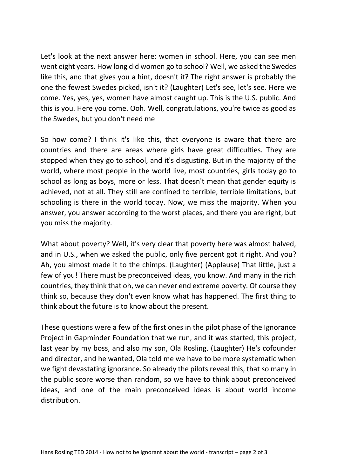Let's look at the next answer here: women in school. Here, you can see men went eight years. How long did women go to school? Well, we asked the Swedes like this, and that gives you a hint, doesn't it? The right answer is probably the one the fewest Swedes picked, isn't it? (Laughter) Let's see, let's see. Here we come. Yes, yes, yes, women have almost caught up. This is the U.S. public. And this is you. Here you come. Ooh. Well, congratulations, you're twice as good as the Swedes, but you don't need me —

So how come? I think it's like this, that everyone is aware that there are countries and there are areas where girls have great difficulties. They are stopped when they go to school, and it's disgusting. But in the majority of the world, where most people in the world live, most countries, girls today go to school as long as boys, more or less. That doesn't mean that gender equity is achieved, not at all. They still are confined to terrible, terrible limitations, but schooling is there in the world today. Now, we miss the majority. When you answer, you answer according to the worst places, and there you are right, but you miss the majority.

What about poverty? Well, it's very clear that poverty here was almost halved, and in U.S., when we asked the public, only five percent got it right. And you? Ah, you almost made it to the chimps. (Laughter) (Applause) That little, just a few of you! There must be preconceived ideas, you know. And many in the rich countries, they think that oh, we can never end extreme poverty. Of course they think so, because they don't even know what has happened. The first thing to think about the future is to know about the present.

These questions were a few of the first ones in the pilot phase of the Ignorance Project in Gapminder Foundation that we run, and it was started, this project, last year by my boss, and also my son, Ola Rosling. (Laughter) He's cofounder and director, and he wanted, Ola told me we have to be more systematic when we fight devastating ignorance. So already the pilots reveal this, that so many in the public score worse than random, so we have to think about preconceived ideas, and one of the main preconceived ideas is about world income distribution.